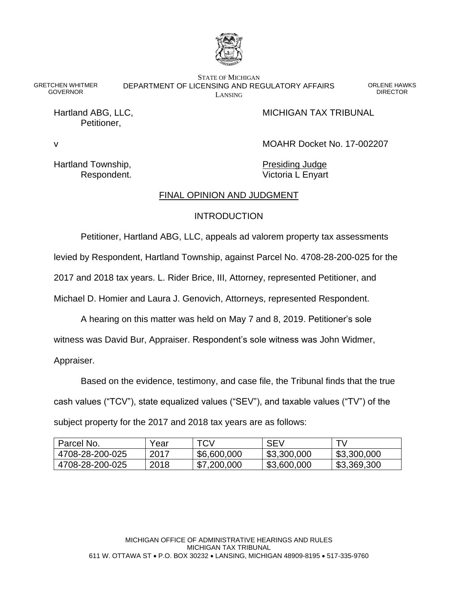

GRETCHEN WHITMER **GOVERNOR** 

STATE OF MICHIGAN DEPARTMENT OF LICENSING AND REGULATORY AFFAIRS LANSING

ORLENE HAWKS DIRECTOR

Petitioner,

Hartland ABG, LLC, **MICHIGAN TAX TRIBUNAL** 

v MOAHR Docket No. 17-002207

Hartland Township, The Contract of the Presiding Judge

Respondent. **Victoria L Enyart** 

# FINAL OPINION AND JUDGMENT

## **INTRODUCTION**

Petitioner, Hartland ABG, LLC, appeals ad valorem property tax assessments

levied by Respondent, Hartland Township, against Parcel No. 4708-28-200-025 for the

2017 and 2018 tax years. L. Rider Brice, III, Attorney, represented Petitioner, and

Michael D. Homier and Laura J. Genovich, Attorneys, represented Respondent.

A hearing on this matter was held on May 7 and 8, 2019. Petitioner's sole

witness was David Bur, Appraiser. Respondent's sole witness was John Widmer,

Appraiser.

Based on the evidence, testimony, and case file, the Tribunal finds that the true cash values ("TCV"), state equalized values ("SEV"), and taxable values ("TV") of the subject property for the 2017 and 2018 tax years are as follows:

| Parcel No.      | Year | TCV         | <b>SEV</b>  |             |
|-----------------|------|-------------|-------------|-------------|
| 4708-28-200-025 | 2017 | \$6,600,000 | \$3,300,000 | \$3,300,000 |
| 4708-28-200-025 | 2018 | \$7,200,000 | \$3,600,000 | \$3,369,300 |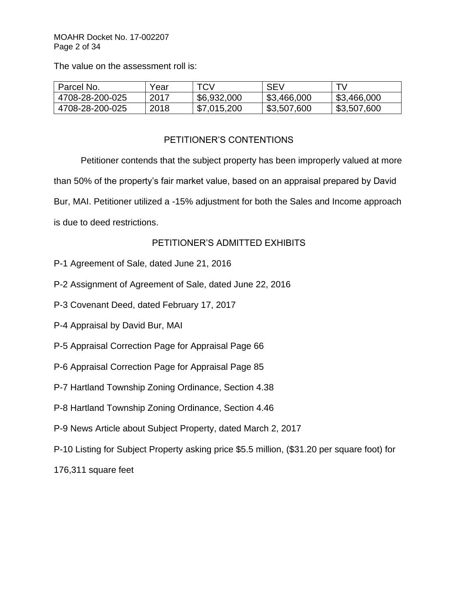## MOAHR Docket No. 17-002207 Page 2 of 34

The value on the assessment roll is:

| Parcel No.      | Year | <b>TCV</b>  | <b>SEV</b>  |             |
|-----------------|------|-------------|-------------|-------------|
| 4708-28-200-025 | 2017 | \$6,932,000 | \$3,466,000 | \$3,466,000 |
| 4708-28-200-025 | 2018 | \$7,015,200 | \$3,507,600 | \$3,507,600 |

# PETITIONER'S CONTENTIONS

Petitioner contends that the subject property has been improperly valued at more than 50% of the property's fair market value, based on an appraisal prepared by David Bur, MAI. Petitioner utilized a -15% adjustment for both the Sales and Income approach is due to deed restrictions.

# PETITIONER'S ADMITTED EXHIBITS

- P-1 Agreement of Sale, dated June 21, 2016
- P-2 Assignment of Agreement of Sale, dated June 22, 2016
- P-3 Covenant Deed, dated February 17, 2017
- P-4 Appraisal by David Bur, MAI
- P-5 Appraisal Correction Page for Appraisal Page 66
- P-6 Appraisal Correction Page for Appraisal Page 85
- P-7 Hartland Township Zoning Ordinance, Section 4.38
- P-8 Hartland Township Zoning Ordinance, Section 4.46
- P-9 News Article about Subject Property, dated March 2, 2017
- P-10 Listing for Subject Property asking price \$5.5 million, (\$31.20 per square foot) for

176,311 square feet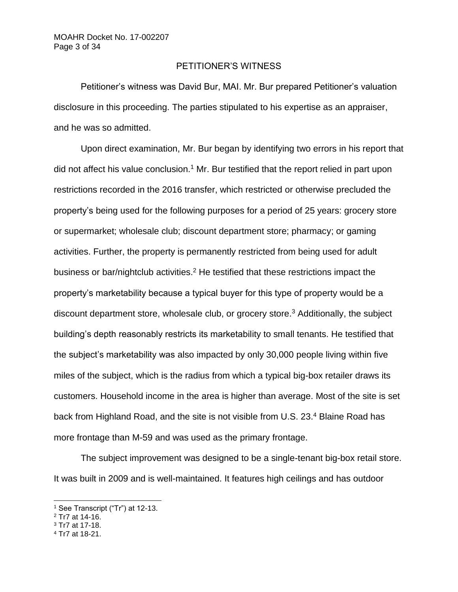## PETITIONER'S WITNESS

Petitioner's witness was David Bur, MAI. Mr. Bur prepared Petitioner's valuation disclosure in this proceeding. The parties stipulated to his expertise as an appraiser, and he was so admitted.

Upon direct examination, Mr. Bur began by identifying two errors in his report that did not affect his value conclusion.<sup>1</sup> Mr. Bur testified that the report relied in part upon restrictions recorded in the 2016 transfer, which restricted or otherwise precluded the property's being used for the following purposes for a period of 25 years: grocery store or supermarket; wholesale club; discount department store; pharmacy; or gaming activities. Further, the property is permanently restricted from being used for adult business or bar/nightclub activities.<sup>2</sup> He testified that these restrictions impact the property's marketability because a typical buyer for this type of property would be a discount department store, wholesale club, or grocery store.<sup>3</sup> Additionally, the subject building's depth reasonably restricts its marketability to small tenants. He testified that the subject's marketability was also impacted by only 30,000 people living within five miles of the subject, which is the radius from which a typical big-box retailer draws its customers. Household income in the area is higher than average. Most of the site is set back from Highland Road, and the site is not visible from U.S. 23.<sup>4</sup> Blaine Road has more frontage than M-59 and was used as the primary frontage.

The subject improvement was designed to be a single-tenant big-box retail store. It was built in 2009 and is well-maintained. It features high ceilings and has outdoor

- <sup>2</sup> Tr7 at 14-16.
- <sup>3</sup> Tr7 at 17-18.

<sup>&</sup>lt;sup>1</sup> See Transcript ("Tr") at 12-13.

<sup>4</sup> Tr7 at 18-21.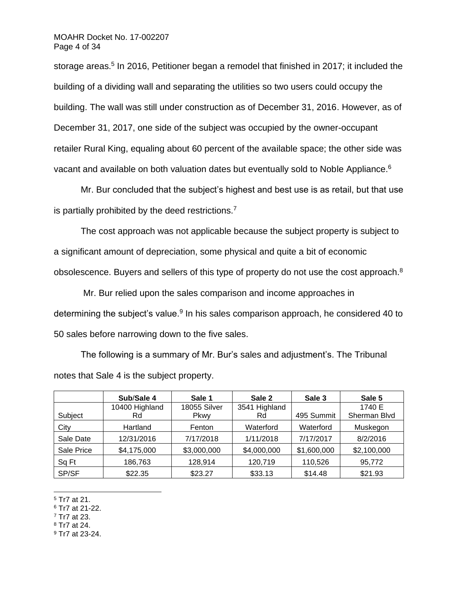#### MOAHR Docket No. 17-002207 Page 4 of 34

storage areas.<sup>5</sup> In 2016, Petitioner began a remodel that finished in 2017; it included the building of a dividing wall and separating the utilities so two users could occupy the building. The wall was still under construction as of December 31, 2016. However, as of December 31, 2017, one side of the subject was occupied by the owner-occupant retailer Rural King, equaling about 60 percent of the available space; the other side was vacant and available on both valuation dates but eventually sold to Noble Appliance.<sup>6</sup>

Mr. Bur concluded that the subject's highest and best use is as retail, but that use is partially prohibited by the deed restrictions.<sup>7</sup>

The cost approach was not applicable because the subject property is subject to a significant amount of depreciation, some physical and quite a bit of economic obsolescence. Buyers and sellers of this type of property do not use the cost approach.<sup>8</sup>

Mr. Bur relied upon the sales comparison and income approaches in determining the subject's value.<sup>9</sup> In his sales comparison approach, he considered 40 to 50 sales before narrowing down to the five sales.

The following is a summary of Mr. Bur's sales and adjustment's. The Tribunal notes that Sale 4 is the subject property.

|            | Sub/Sale 4     | Sale 1       | Sale 2        | Sale 3      | Sale 5       |
|------------|----------------|--------------|---------------|-------------|--------------|
|            | 10400 Highland | 18055 Silver | 3541 Highland |             | 1740 E       |
| Subject    | Rd             | <b>Pkwy</b>  | Rd            | 495 Summit  | Sherman Blvd |
| City       | Hartland       | Fenton       | Waterford     | Waterford   | Muskegon     |
| Sale Date  | 12/31/2016     | 7/17/2018    | 1/11/2018     | 7/17/2017   | 8/2/2016     |
| Sale Price | \$4,175,000    | \$3,000,000  | \$4,000,000   | \$1,600,000 | \$2,100,000  |
| Sq Ft      | 186,763        | 128,914      | 120,719       | 110,526     | 95,772       |
| SP/SF      | \$22.35        | \$23.27      | \$33.13       | \$14.48     | \$21.93      |

<sup>5</sup> Tr7 at 21.

<sup>6</sup> Tr7 at 21-22.

 $7$  Tr7 at 23.

<sup>8</sup> Tr7 at 24.

<sup>9</sup> Tr7 at 23-24.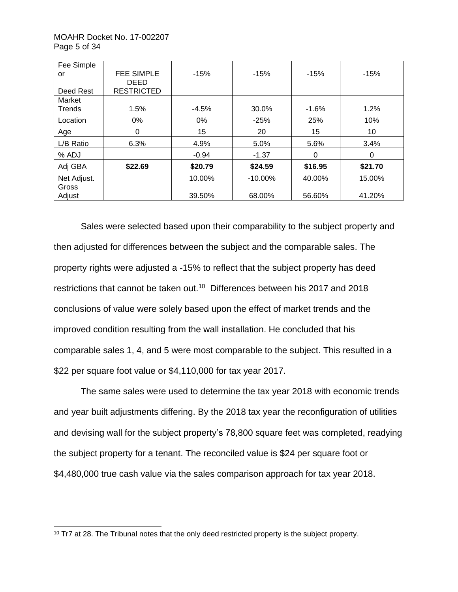### MOAHR Docket No. 17-002207 Page 5 of 34

| Fee Simple  |                   |         |            |          |          |
|-------------|-------------------|---------|------------|----------|----------|
| or          | <b>FEE SIMPLE</b> | $-15%$  | $-15%$     | $-15%$   | $-15%$   |
|             | <b>DEED</b>       |         |            |          |          |
| Deed Rest   | <b>RESTRICTED</b> |         |            |          |          |
| Market      |                   |         |            |          |          |
| Trends      | 1.5%              | $-4.5%$ | 30.0%      | $-1.6%$  | 1.2%     |
| Location    | $0\%$             | $0\%$   | $-25%$     | 25%      | 10%      |
| Age         | 0                 | 15      | 20         | 15       | 10       |
| L/B Ratio   | 6.3%              | 4.9%    | 5.0%       | 5.6%     | 3.4%     |
| % ADJ       |                   | $-0.94$ | $-1.37$    | $\Omega$ | $\Omega$ |
| Adj GBA     | \$22.69           | \$20.79 | \$24.59    | \$16.95  | \$21.70  |
| Net Adjust. |                   | 10.00%  | $-10.00\%$ | 40.00%   | 15.00%   |
| Gross       |                   |         |            |          |          |
| Adjust      |                   | 39.50%  | 68.00%     | 56.60%   | 41.20%   |

Sales were selected based upon their comparability to the subject property and then adjusted for differences between the subject and the comparable sales. The property rights were adjusted a -15% to reflect that the subject property has deed restrictions that cannot be taken out.<sup>10</sup> Differences between his 2017 and 2018 conclusions of value were solely based upon the effect of market trends and the improved condition resulting from the wall installation. He concluded that his comparable sales 1, 4, and 5 were most comparable to the subject. This resulted in a \$22 per square foot value or \$4,110,000 for tax year 2017.

The same sales were used to determine the tax year 2018 with economic trends and year built adjustments differing. By the 2018 tax year the reconfiguration of utilities and devising wall for the subject property's 78,800 square feet was completed, readying the subject property for a tenant. The reconciled value is \$24 per square foot or \$4,480,000 true cash value via the sales comparison approach for tax year 2018.

<sup>&</sup>lt;sup>10</sup> Tr7 at 28. The Tribunal notes that the only deed restricted property is the subject property.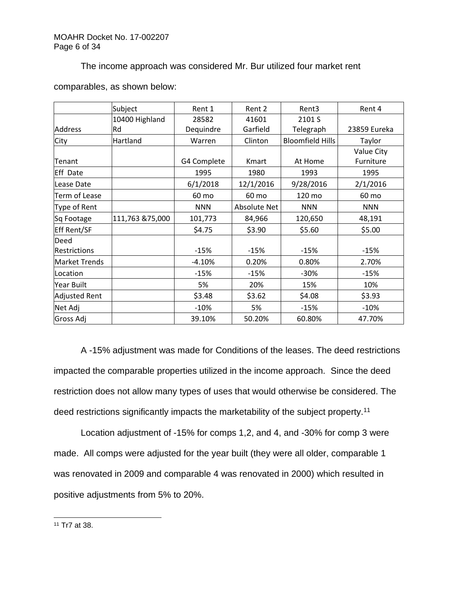## The income approach was considered Mr. Bur utilized four market rent

|                      | Subject         | Rent 1      | Rent 2       | Rent3                   | Rent 4       |
|----------------------|-----------------|-------------|--------------|-------------------------|--------------|
|                      | 10400 Highland  | 28582       | 41601        | 2101 S                  |              |
| Address              | Rd              | Dequindre   | Garfield     | Telegraph               | 23859 Eureka |
| City                 | Hartland        | Warren      | Clinton      | <b>Bloomfield Hills</b> | Taylor       |
|                      |                 |             |              |                         | Value City   |
| Tenant               |                 | G4 Complete | Kmart        | At Home                 | Furniture    |
| <b>Eff Date</b>      |                 | 1995        | 1980         | 1993                    | 1995         |
| Lease Date           |                 | 6/1/2018    | 12/1/2016    | 9/28/2016               | 2/1/2016     |
| Term of Lease        |                 | 60 mo       | 60 mo        | 120 mo                  | 60 mo        |
| Type of Rent         |                 | <b>NNN</b>  | Absolute Net | <b>NNN</b>              | <b>NNN</b>   |
| Sq Footage           | 111,763 &75,000 | 101,773     | 84,966       | 120,650                 | 48,191       |
| <b>Eff Rent/SF</b>   |                 | \$4.75      | \$3.90       | \$5.60                  | \$5.00       |
| Deed                 |                 |             |              |                         |              |
| <b>Restrictions</b>  |                 | $-15%$      | $-15%$       | $-15%$                  | $-15%$       |
| <b>Market Trends</b> |                 | $-4.10%$    | 0.20%        | 0.80%                   | 2.70%        |
| Location             |                 | $-15%$      | $-15%$       | $-30%$                  | $-15%$       |
| Year Built           |                 | 5%          | 20%          | 15%                     | 10%          |
| <b>Adjusted Rent</b> |                 | \$3.48      | \$3.62       | \$4.08                  | \$3.93       |
| Net Adj              |                 | $-10%$      | 5%           | $-15%$                  | $-10%$       |
| Gross Adj            |                 | 39.10%      | 50.20%       | 60.80%                  | 47.70%       |

# comparables, as shown below:

A -15% adjustment was made for Conditions of the leases. The deed restrictions impacted the comparable properties utilized in the income approach. Since the deed restriction does not allow many types of uses that would otherwise be considered. The deed restrictions significantly impacts the marketability of the subject property.<sup>11</sup>

Location adjustment of -15% for comps 1,2, and 4, and -30% for comp 3 were made. All comps were adjusted for the year built (they were all older, comparable 1 was renovated in 2009 and comparable 4 was renovated in 2000) which resulted in positive adjustments from 5% to 20%.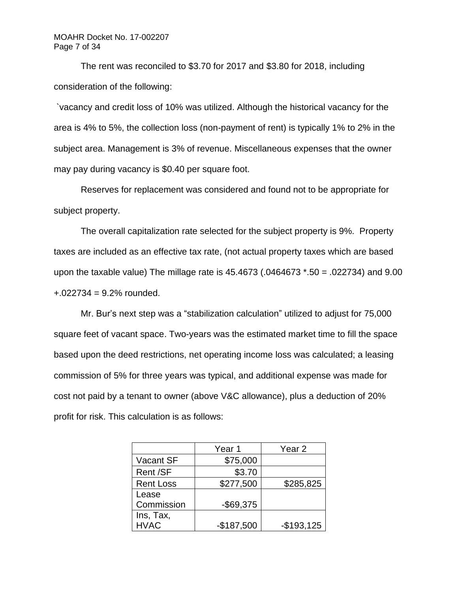### MOAHR Docket No. 17-002207 Page 7 of 34

The rent was reconciled to \$3.70 for 2017 and \$3.80 for 2018, including consideration of the following:

`vacancy and credit loss of 10% was utilized. Although the historical vacancy for the area is 4% to 5%, the collection loss (non-payment of rent) is typically 1% to 2% in the subject area. Management is 3% of revenue. Miscellaneous expenses that the owner may pay during vacancy is \$0.40 per square foot.

Reserves for replacement was considered and found not to be appropriate for subject property.

The overall capitalization rate selected for the subject property is 9%. Property taxes are included as an effective tax rate, (not actual property taxes which are based upon the taxable value) The millage rate is 45.4673 (.0464673 \*.50 = .022734) and 9.00  $+0.022734 = 9.2\%$  rounded.

Mr. Bur's next step was a "stabilization calculation" utilized to adjust for 75,000 square feet of vacant space. Two-years was the estimated market time to fill the space based upon the deed restrictions, net operating income loss was calculated; a leasing commission of 5% for three years was typical, and additional expense was made for cost not paid by a tenant to owner (above V&C allowance), plus a deduction of 20% profit for risk. This calculation is as follows:

|                  | Year <sub>1</sub> | Year 2      |
|------------------|-------------------|-------------|
| Vacant SF        | \$75,000          |             |
| Rent /SF         | \$3.70            |             |
| <b>Rent Loss</b> | \$277,500         | \$285,825   |
| Lease            |                   |             |
| Commission       | $-$ \$69,375      |             |
| Ins, Tax,        |                   |             |
| <b>HVAC</b>      | $-$187,500$       | $-$193,125$ |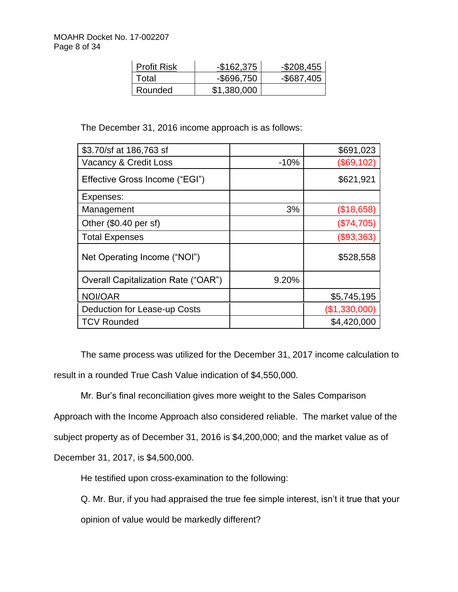| <b>Profit Risk</b> | $-$162,375$   | $-$ \$208,455 |
|--------------------|---------------|---------------|
| Total              | $-$ \$696,750 | $-$ \$687,405 |
| Rounded            | \$1,380,000   |               |

The December 31, 2016 income approach is as follows:

| \$3.70/sf at 186,763 sf                    |        | \$691,023     |
|--------------------------------------------|--------|---------------|
| Vacancy & Credit Loss                      | $-10%$ | (\$69,102)    |
| Effective Gross Income ("EGI")             |        | \$621,921     |
| Expenses:                                  |        |               |
| Management                                 | 3%     | (\$18,658)    |
| Other (\$0.40 per sf)                      |        | (\$74,705)    |
| <b>Total Expenses</b>                      |        | (\$93,363)    |
| Net Operating Income ("NOI")               |        | \$528,558     |
| <b>Overall Capitalization Rate ("OAR")</b> | 9.20%  |               |
| NOI/OAR                                    |        | \$5,745,195   |
| Deduction for Lease-up Costs               |        | (\$1,330,000) |
| <b>TCV Rounded</b>                         |        | \$4,420,000   |

The same process was utilized for the December 31, 2017 income calculation to result in a rounded True Cash Value indication of \$4,550,000.

Mr. Bur's final reconciliation gives more weight to the Sales Comparison Approach with the Income Approach also considered reliable. The market value of the subject property as of December 31, 2016 is \$4,200,000; and the market value as of December 31, 2017, is \$4,500,000.

He testified upon cross-examination to the following:

Q. Mr. Bur, if you had appraised the true fee simple interest, isn't it true that your opinion of value would be markedly different?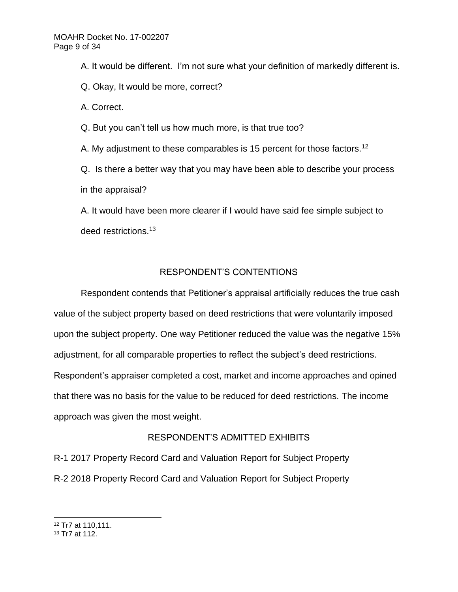A. It would be different. I'm not sure what your definition of markedly different is.

Q. Okay, It would be more, correct?

A. Correct.

Q. But you can't tell us how much more, is that true too?

A. My adjustment to these comparables is 15 percent for those factors.<sup>12</sup>

Q. Is there a better way that you may have been able to describe your process in the appraisal?

A. It would have been more clearer if I would have said fee simple subject to deed restrictions.<sup>13</sup>

# RESPONDENT'S CONTENTIONS

Respondent contends that Petitioner's appraisal artificially reduces the true cash value of the subject property based on deed restrictions that were voluntarily imposed upon the subject property. One way Petitioner reduced the value was the negative 15% adjustment, for all comparable properties to reflect the subject's deed restrictions. Respondent's appraiser completed a cost, market and income approaches and opined that there was no basis for the value to be reduced for deed restrictions. The income approach was given the most weight.

# RESPONDENT'S ADMITTED EXHIBITS

R-1 2017 Property Record Card and Valuation Report for Subject Property R-2 2018 Property Record Card and Valuation Report for Subject Property

<sup>12</sup> Tr7 at 110,111.

<sup>13</sup> Tr7 at 112.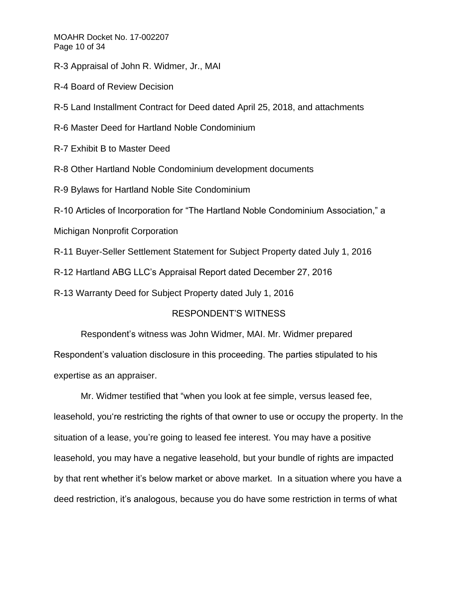MOAHR Docket No. 17-002207 Page 10 of 34

R-3 Appraisal of John R. Widmer, Jr., MAI

R-4 Board of Review Decision

R-5 Land Installment Contract for Deed dated April 25, 2018, and attachments

R-6 Master Deed for Hartland Noble Condominium

R-7 Exhibit B to Master Deed

R-8 Other Hartland Noble Condominium development documents

R-9 Bylaws for Hartland Noble Site Condominium

R-10 Articles of Incorporation for "The Hartland Noble Condominium Association," a

Michigan Nonprofit Corporation

R-11 Buyer-Seller Settlement Statement for Subject Property dated July 1, 2016

R-12 Hartland ABG LLC's Appraisal Report dated December 27, 2016

R-13 Warranty Deed for Subject Property dated July 1, 2016

# RESPONDENT'S WITNESS

Respondent's witness was John Widmer, MAI. Mr. Widmer prepared Respondent's valuation disclosure in this proceeding. The parties stipulated to his expertise as an appraiser.

Mr. Widmer testified that "when you look at fee simple, versus leased fee, leasehold, you're restricting the rights of that owner to use or occupy the property. In the situation of a lease, you're going to leased fee interest. You may have a positive leasehold, you may have a negative leasehold, but your bundle of rights are impacted by that rent whether it's below market or above market. In a situation where you have a deed restriction, it's analogous, because you do have some restriction in terms of what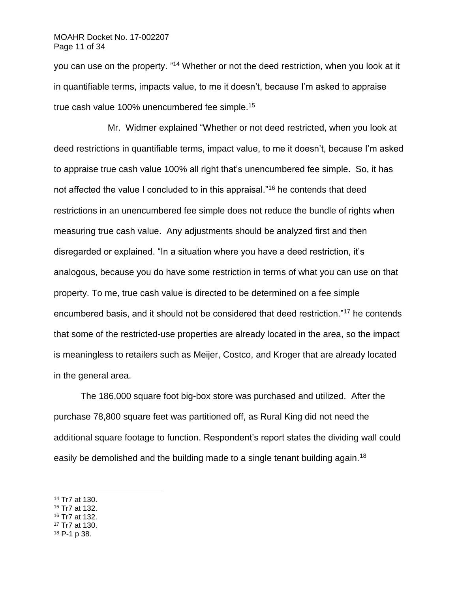#### MOAHR Docket No. 17-002207 Page 11 of 34

you can use on the property. "<sup>14</sup> Whether or not the deed restriction, when you look at it in quantifiable terms, impacts value, to me it doesn't, because I'm asked to appraise true cash value 100% unencumbered fee simple.<sup>15</sup>

Mr. Widmer explained "Whether or not deed restricted, when you look at deed restrictions in quantifiable terms, impact value, to me it doesn't, because I'm asked to appraise true cash value 100% all right that's unencumbered fee simple. So, it has not affected the value I concluded to in this appraisal."<sup>16</sup> he contends that deed restrictions in an unencumbered fee simple does not reduce the bundle of rights when measuring true cash value. Any adjustments should be analyzed first and then disregarded or explained. "In a situation where you have a deed restriction, it's analogous, because you do have some restriction in terms of what you can use on that property. To me, true cash value is directed to be determined on a fee simple encumbered basis, and it should not be considered that deed restriction."<sup>17</sup> he contends that some of the restricted-use properties are already located in the area, so the impact is meaningless to retailers such as Meijer, Costco, and Kroger that are already located in the general area.

The 186,000 square foot big-box store was purchased and utilized. After the purchase 78,800 square feet was partitioned off, as Rural King did not need the additional square footage to function. Respondent's report states the dividing wall could easily be demolished and the building made to a single tenant building again.<sup>18</sup>

- <sup>15</sup> Tr7 at 132.
- <sup>16</sup> Tr7 at 132.
- <sup>17</sup> Tr7 at 130.
- <sup>18</sup> P-1 p 38.

<sup>14</sup> Tr7 at 130.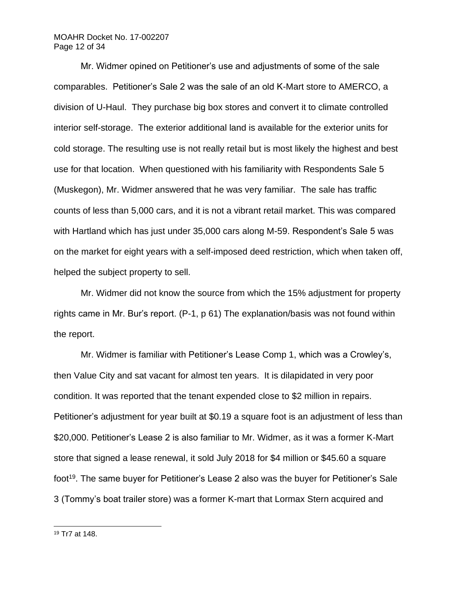#### MOAHR Docket No. 17-002207 Page 12 of 34

Mr. Widmer opined on Petitioner's use and adjustments of some of the sale comparables. Petitioner's Sale 2 was the sale of an old K-Mart store to AMERCO, a division of U-Haul. They purchase big box stores and convert it to climate controlled interior self-storage. The exterior additional land is available for the exterior units for cold storage. The resulting use is not really retail but is most likely the highest and best use for that location. When questioned with his familiarity with Respondents Sale 5 (Muskegon), Mr. Widmer answered that he was very familiar. The sale has traffic counts of less than 5,000 cars, and it is not a vibrant retail market. This was compared with Hartland which has just under 35,000 cars along M-59. Respondent's Sale 5 was on the market for eight years with a self-imposed deed restriction, which when taken off, helped the subject property to sell.

Mr. Widmer did not know the source from which the 15% adjustment for property rights came in Mr. Bur's report. (P-1, p 61) The explanation/basis was not found within the report.

Mr. Widmer is familiar with Petitioner's Lease Comp 1, which was a Crowley's, then Value City and sat vacant for almost ten years. It is dilapidated in very poor condition. It was reported that the tenant expended close to \$2 million in repairs. Petitioner's adjustment for year built at \$0.19 a square foot is an adjustment of less than \$20,000. Petitioner's Lease 2 is also familiar to Mr. Widmer, as it was a former K-Mart store that signed a lease renewal, it sold July 2018 for \$4 million or \$45.60 a square foot<sup>19</sup>. The same buyer for Petitioner's Lease 2 also was the buyer for Petitioner's Sale 3 (Tommy's boat trailer store) was a former K-mart that Lormax Stern acquired and

<sup>19</sup> Tr7 at 148.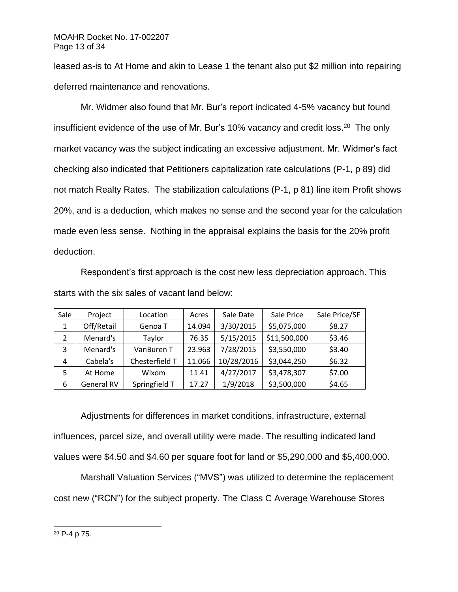leased as-is to At Home and akin to Lease 1 the tenant also put \$2 million into repairing deferred maintenance and renovations.

Mr. Widmer also found that Mr. Bur's report indicated 4-5% vacancy but found insufficient evidence of the use of Mr. Bur's 10% vacancy and credit loss.<sup>20</sup> The only market vacancy was the subject indicating an excessive adjustment. Mr. Widmer's fact checking also indicated that Petitioners capitalization rate calculations (P-1, p 89) did not match Realty Rates. The stabilization calculations (P-1, p 81) line item Profit shows 20%, and is a deduction, which makes no sense and the second year for the calculation made even less sense. Nothing in the appraisal explains the basis for the 20% profit deduction.

Respondent's first approach is the cost new less depreciation approach. This starts with the six sales of vacant land below:

| Sale | Project    | Location       | Acres  | Sale Date  | Sale Price   | Sale Price/SF |
|------|------------|----------------|--------|------------|--------------|---------------|
| 1    | Off/Retail | Genoa T        | 14.094 | 3/30/2015  | \$5,075,000  | \$8.27        |
| 2    | Menard's   | Taylor         | 76.35  | 5/15/2015  | \$11,500,000 | \$3.46        |
| 3    | Menard's   | VanBuren T     | 23.963 | 7/28/2015  | \$3,550,000  | \$3.40        |
| 4    | Cabela's   | Chesterfield T | 11.066 | 10/28/2016 | \$3,044,250  | \$6.32        |
| 5    | At Home    | Wixom          | 11.41  | 4/27/2017  | \$3,478,307  | \$7.00        |
| 6    | General RV | Springfield T  | 17.27  | 1/9/2018   | \$3,500,000  | \$4.65        |

Adjustments for differences in market conditions, infrastructure, external influences, parcel size, and overall utility were made. The resulting indicated land values were \$4.50 and \$4.60 per square foot for land or \$5,290,000 and \$5,400,000.

Marshall Valuation Services ("MVS") was utilized to determine the replacement cost new ("RCN") for the subject property. The Class C Average Warehouse Stores

<sup>20</sup> P-4 p 75.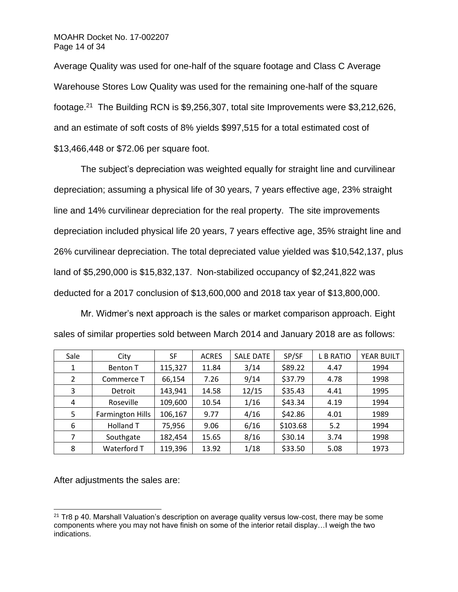Average Quality was used for one-half of the square footage and Class C Average Warehouse Stores Low Quality was used for the remaining one-half of the square footage.<sup>21</sup> The Building RCN is \$9,256,307, total site Improvements were \$3,212,626, and an estimate of soft costs of 8% yields \$997,515 for a total estimated cost of \$13,466,448 or \$72.06 per square foot.

The subject's depreciation was weighted equally for straight line and curvilinear depreciation; assuming a physical life of 30 years, 7 years effective age, 23% straight line and 14% curvilinear depreciation for the real property. The site improvements depreciation included physical life 20 years, 7 years effective age, 35% straight line and 26% curvilinear depreciation. The total depreciated value yielded was \$10,542,137, plus land of \$5,290,000 is \$15,832,137. Non-stabilized occupancy of \$2,241,822 was deducted for a 2017 conclusion of \$13,600,000 and 2018 tax year of \$13,800,000.

Mr. Widmer's next approach is the sales or market comparison approach. Eight sales of similar properties sold between March 2014 and January 2018 are as follows:

| Sale | City                    | <b>SF</b> | <b>ACRES</b> | <b>SALE DATE</b> | SP/SF    | <b>L B RATIO</b> | YEAR BUILT |
|------|-------------------------|-----------|--------------|------------------|----------|------------------|------------|
| 1    | <b>Benton T</b>         | 115,327   | 11.84        | 3/14             | \$89.22  | 4.47             | 1994       |
| 2    | Commerce T              | 66,154    | 7.26         | 9/14             | \$37.79  | 4.78             | 1998       |
| 3    | Detroit                 | 143,941   | 14.58        | 12/15            | \$35.43  | 4.41             | 1995       |
| 4    | Roseville               | 109,600   | 10.54        | 1/16             | \$43.34  | 4.19             | 1994       |
| 5    | <b>Farmington Hills</b> | 106,167   | 9.77         | 4/16             | \$42.86  | 4.01             | 1989       |
| 6    | Holland T               | 75,956    | 9.06         | 6/16             | \$103.68 | 5.2              | 1994       |
| 7    | Southgate               | 182,454   | 15.65        | 8/16             | \$30.14  | 3.74             | 1998       |
| 8    | Waterford T             | 119,396   | 13.92        | 1/18             | \$33.50  | 5.08             | 1973       |

After adjustments the sales are:

 $21$  Tr8 p 40. Marshall Valuation's description on average quality versus low-cost, there may be some components where you may not have finish on some of the interior retail display…I weigh the two indications.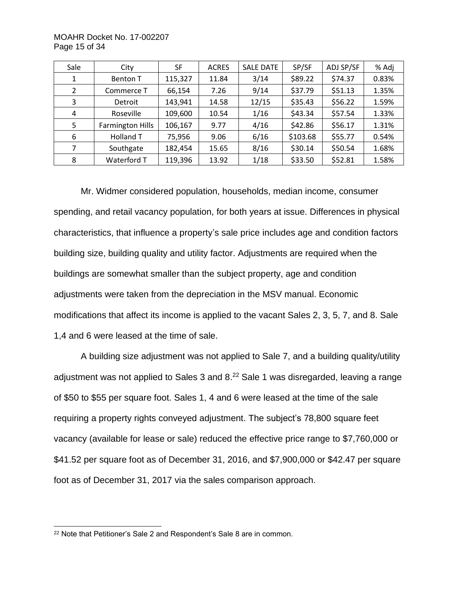MOAHR Docket No. 17-002207 Page 15 of 34

| Sale           | City                    | <b>SF</b> | <b>ACRES</b> | <b>SALE DATE</b> | SP/SF    | ADJ SP/SF | % Adj |
|----------------|-------------------------|-----------|--------------|------------------|----------|-----------|-------|
| 1              | <b>Benton T</b>         | 115,327   | 11.84        | 3/14             | \$89.22  | \$74.37   | 0.83% |
| $\overline{2}$ | Commerce T              | 66,154    | 7.26         | 9/14             | \$37.79  | \$51.13   | 1.35% |
| 3              | Detroit                 | 143,941   | 14.58        | 12/15            | \$35.43  | \$56.22   | 1.59% |
| 4              | Roseville               | 109,600   | 10.54        | 1/16             | \$43.34  | \$57.54   | 1.33% |
| 5              | <b>Farmington Hills</b> | 106,167   | 9.77         | 4/16             | \$42.86  | \$56.17   | 1.31% |
| 6              | Holland T               | 75,956    | 9.06         | 6/16             | \$103.68 | \$55.77   | 0.54% |
| 7              | Southgate               | 182,454   | 15.65        | 8/16             | \$30.14  | \$50.54   | 1.68% |
| 8              | Waterford T             | 119,396   | 13.92        | 1/18             | \$33.50  | \$52.81   | 1.58% |

Mr. Widmer considered population, households, median income, consumer spending, and retail vacancy population, for both years at issue. Differences in physical characteristics, that influence a property's sale price includes age and condition factors building size, building quality and utility factor. Adjustments are required when the buildings are somewhat smaller than the subject property, age and condition adjustments were taken from the depreciation in the MSV manual. Economic modifications that affect its income is applied to the vacant Sales 2, 3, 5, 7, and 8. Sale 1,4 and 6 were leased at the time of sale.

A building size adjustment was not applied to Sale 7, and a building quality/utility adjustment was not applied to Sales 3 and 8.<sup>22</sup> Sale 1 was disregarded, leaving a range of \$50 to \$55 per square foot. Sales 1, 4 and 6 were leased at the time of the sale requiring a property rights conveyed adjustment. The subject's 78,800 square feet vacancy (available for lease or sale) reduced the effective price range to \$7,760,000 or \$41.52 per square foot as of December 31, 2016, and \$7,900,000 or \$42.47 per square foot as of December 31, 2017 via the sales comparison approach.

<sup>22</sup> Note that Petitioner's Sale 2 and Respondent's Sale 8 are in common.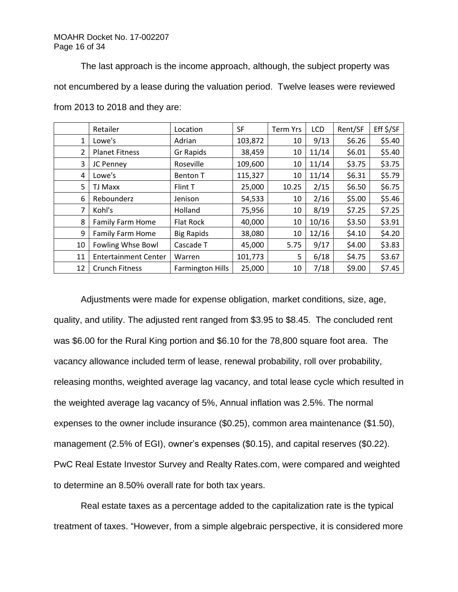The last approach is the income approach, although, the subject property was not encumbered by a lease during the valuation period. Twelve leases were reviewed from 2013 to 2018 and they are:

|    | Retailer                    | Location                | <b>SF</b> | <b>Term Yrs</b> | LCD   | Rent/SF | Eff \$/SF |
|----|-----------------------------|-------------------------|-----------|-----------------|-------|---------|-----------|
| 1  | Lowe's                      | Adrian                  | 103,872   | 10              | 9/13  | \$6.26  | \$5.40    |
| 2  | <b>Planet Fitness</b>       | Gr Rapids               | 38,459    | 10              | 11/14 | \$6.01  | \$5.40    |
| 3  | JC Penney                   | Roseville               | 109,600   | 10              | 11/14 | \$3.75  | \$3.75    |
| 4  | Lowe's                      | <b>Benton T</b>         | 115,327   | 10              | 11/14 | \$6.31  | \$5.79    |
| 5  | TJ Maxx                     | Flint T                 | 25,000    | 10.25           | 2/15  | \$6.50  | \$6.75    |
| 6  | Rebounderz                  | Jenison                 | 54,533    | 10              | 2/16  | \$5.00  | \$5.46    |
| 7  | Kohl's                      | Holland                 | 75,956    | 10              | 8/19  | \$7.25  | \$7.25    |
| 8  | <b>Family Farm Home</b>     | Flat Rock               | 40,000    | 10              | 10/16 | \$3.50  | \$3.91    |
| 9  | Family Farm Home            | <b>Big Rapids</b>       | 38,080    | 10              | 12/16 | \$4.10  | \$4.20    |
| 10 | Fowling Whse Bowl           | Cascade T               | 45,000    | 5.75            | 9/17  | \$4.00  | \$3.83    |
| 11 | <b>Entertainment Center</b> | Warren                  | 101,773   | 5               | 6/18  | \$4.75  | \$3.67    |
| 12 | <b>Crunch Fitness</b>       | <b>Farmington Hills</b> | 25,000    | 10              | 7/18  | \$9.00  | \$7.45    |

Adjustments were made for expense obligation, market conditions, size, age, quality, and utility. The adjusted rent ranged from \$3.95 to \$8.45. The concluded rent was \$6.00 for the Rural King portion and \$6.10 for the 78,800 square foot area. The vacancy allowance included term of lease, renewal probability, roll over probability, releasing months, weighted average lag vacancy, and total lease cycle which resulted in the weighted average lag vacancy of 5%, Annual inflation was 2.5%. The normal expenses to the owner include insurance (\$0.25), common area maintenance (\$1.50), management (2.5% of EGI), owner's expenses (\$0.15), and capital reserves (\$0.22). PwC Real Estate Investor Survey and Realty Rates.com, were compared and weighted to determine an 8.50% overall rate for both tax years.

Real estate taxes as a percentage added to the capitalization rate is the typical treatment of taxes. "However, from a simple algebraic perspective, it is considered more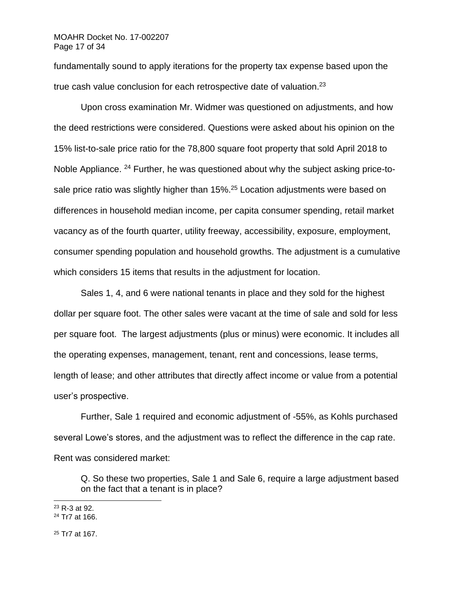#### MOAHR Docket No. 17-002207 Page 17 of 34

fundamentally sound to apply iterations for the property tax expense based upon the true cash value conclusion for each retrospective date of valuation. $^{23}$ 

Upon cross examination Mr. Widmer was questioned on adjustments, and how the deed restrictions were considered. Questions were asked about his opinion on the 15% list-to-sale price ratio for the 78,800 square foot property that sold April 2018 to Noble Appliance. <sup>24</sup> Further, he was questioned about why the subject asking price-tosale price ratio was slightly higher than 15%.<sup>25</sup> Location adjustments were based on differences in household median income, per capita consumer spending, retail market vacancy as of the fourth quarter, utility freeway, accessibility, exposure, employment, consumer spending population and household growths. The adjustment is a cumulative which considers 15 items that results in the adjustment for location.

Sales 1, 4, and 6 were national tenants in place and they sold for the highest dollar per square foot. The other sales were vacant at the time of sale and sold for less per square foot. The largest adjustments (plus or minus) were economic. It includes all the operating expenses, management, tenant, rent and concessions, lease terms, length of lease; and other attributes that directly affect income or value from a potential user's prospective.

Further, Sale 1 required and economic adjustment of -55%, as Kohls purchased several Lowe's stores, and the adjustment was to reflect the difference in the cap rate. Rent was considered market:

Q. So these two properties, Sale 1 and Sale 6, require a large adjustment based on the fact that a tenant is in place?

<sup>25</sup> Tr7 at 167.

<sup>23</sup> R-3 at 92.

<sup>24</sup> Tr7 at 166.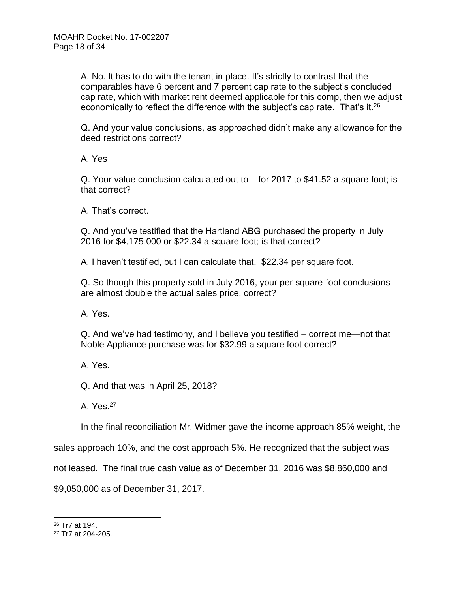A. No. It has to do with the tenant in place. It's strictly to contrast that the comparables have 6 percent and 7 percent cap rate to the subject's concluded cap rate, which with market rent deemed applicable for this comp, then we adjust economically to reflect the difference with the subject's cap rate. That's it.<sup>26</sup>

Q. And your value conclusions, as approached didn't make any allowance for the deed restrictions correct?

A. Yes

Q. Your value conclusion calculated out to – for 2017 to \$41.52 a square foot; is that correct?

A. That's correct.

Q. And you've testified that the Hartland ABG purchased the property in July 2016 for \$4,175,000 or \$22.34 a square foot; is that correct?

A. I haven't testified, but I can calculate that. \$22.34 per square foot.

Q. So though this property sold in July 2016, your per square-foot conclusions are almost double the actual sales price, correct?

A. Yes.

Q. And we've had testimony, and I believe you testified – correct me—not that Noble Appliance purchase was for \$32.99 a square foot correct?

A. Yes.

Q. And that was in April 25, 2018?

A. Yes.<sup>27</sup>

In the final reconciliation Mr. Widmer gave the income approach 85% weight, the

sales approach 10%, and the cost approach 5%. He recognized that the subject was

not leased. The final true cash value as of December 31, 2016 was \$8,860,000 and

\$9,050,000 as of December 31, 2017.

<sup>26</sup> Tr7 at 194.

<sup>27</sup> Tr7 at 204-205.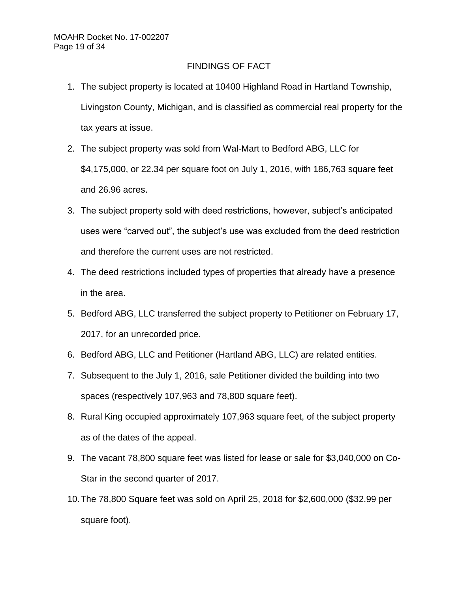# FINDINGS OF FACT

- 1. The subject property is located at 10400 Highland Road in Hartland Township, Livingston County, Michigan, and is classified as commercial real property for the tax years at issue.
- 2. The subject property was sold from Wal-Mart to Bedford ABG, LLC for \$4,175,000, or 22.34 per square foot on July 1, 2016, with 186,763 square feet and 26.96 acres.
- 3. The subject property sold with deed restrictions, however, subject's anticipated uses were "carved out", the subject's use was excluded from the deed restriction and therefore the current uses are not restricted.
- 4. The deed restrictions included types of properties that already have a presence in the area.
- 5. Bedford ABG, LLC transferred the subject property to Petitioner on February 17, 2017, for an unrecorded price.
- 6. Bedford ABG, LLC and Petitioner (Hartland ABG, LLC) are related entities.
- 7. Subsequent to the July 1, 2016, sale Petitioner divided the building into two spaces (respectively 107,963 and 78,800 square feet).
- 8. Rural King occupied approximately 107,963 square feet, of the subject property as of the dates of the appeal.
- 9. The vacant 78,800 square feet was listed for lease or sale for \$3,040,000 on Co-Star in the second quarter of 2017.
- 10.The 78,800 Square feet was sold on April 25, 2018 for \$2,600,000 (\$32.99 per square foot).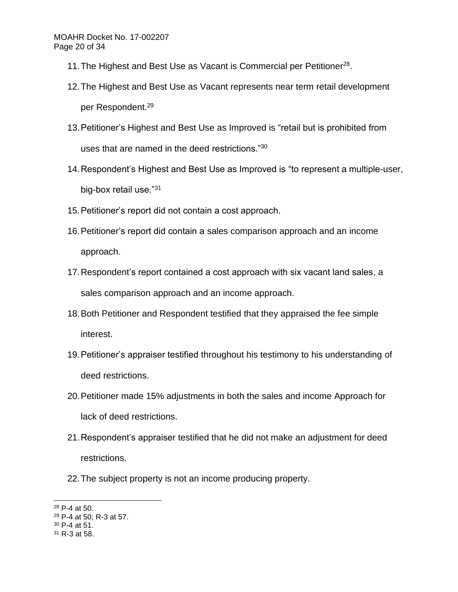- 11. The Highest and Best Use as Vacant is Commercial per Petitioner<sup>28</sup>.
- 12.The Highest and Best Use as Vacant represents near term retail development per Respondent.<sup>29</sup>
- 13.Petitioner's Highest and Best Use as Improved is "retail but is prohibited from uses that are named in the deed restrictions."<sup>30</sup>
- 14.Respondent's Highest and Best Use as Improved is "to represent a multiple-user, big-box retail use."<sup>31</sup>
- 15.Petitioner's report did not contain a cost approach.
- 16.Petitioner's report did contain a sales comparison approach and an income approach.
- 17.Respondent's report contained a cost approach with six vacant land sales, a sales comparison approach and an income approach.
- 18.Both Petitioner and Respondent testified that they appraised the fee simple interest.
- 19.Petitioner's appraiser testified throughout his testimony to his understanding of deed restrictions.
- 20.Petitioner made 15% adjustments in both the sales and income Approach for lack of deed restrictions.
- 21.Respondent's appraiser testified that he did not make an adjustment for deed restrictions.
- 22.The subject property is not an income producing property.

<sup>28</sup> P-4 at 50.

<sup>29</sup> P-4 at 50; R-3 at 57.

<sup>30</sup> P-4 at 51.

<sup>31</sup> R-3 at 58.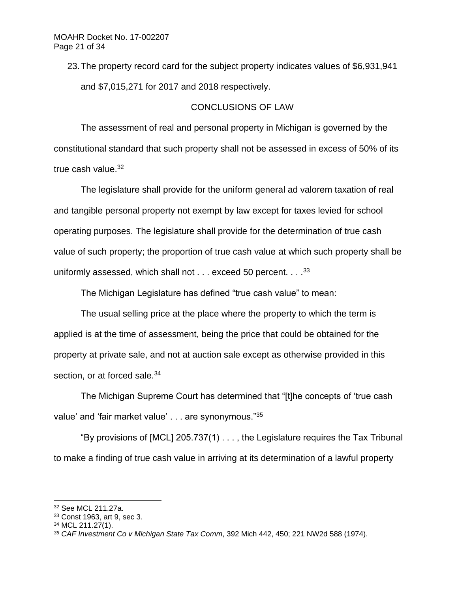23.The property record card for the subject property indicates values of \$6,931,941 and \$7,015,271 for 2017 and 2018 respectively.

## CONCLUSIONS OF LAW

The assessment of real and personal property in Michigan is governed by the constitutional standard that such property shall not be assessed in excess of 50% of its true cash value.<sup>32</sup>

The legislature shall provide for the uniform general ad valorem taxation of real and tangible personal property not exempt by law except for taxes levied for school operating purposes. The legislature shall provide for the determination of true cash value of such property; the proportion of true cash value at which such property shall be uniformly assessed, which shall not  $\dots$  exceed 50 percent.  $\dots$  33

The Michigan Legislature has defined "true cash value" to mean:

The usual selling price at the place where the property to which the term is applied is at the time of assessment, being the price that could be obtained for the property at private sale, and not at auction sale except as otherwise provided in this section, or at forced sale.<sup>34</sup>

The Michigan Supreme Court has determined that "[t]he concepts of 'true cash value' and 'fair market value' . . . are synonymous."35

"By provisions of [MCL] 205.737(1) . . . , the Legislature requires the Tax Tribunal to make a finding of true cash value in arriving at its determination of a lawful property

<sup>32</sup> See MCL 211.27a.

<sup>33</sup> Const 1963, art 9, sec 3.

<sup>34</sup> MCL 211.27(1).

*<sup>35</sup> CAF Investment Co v Michigan State Tax Comm*, 392 Mich 442, 450; 221 NW2d 588 (1974).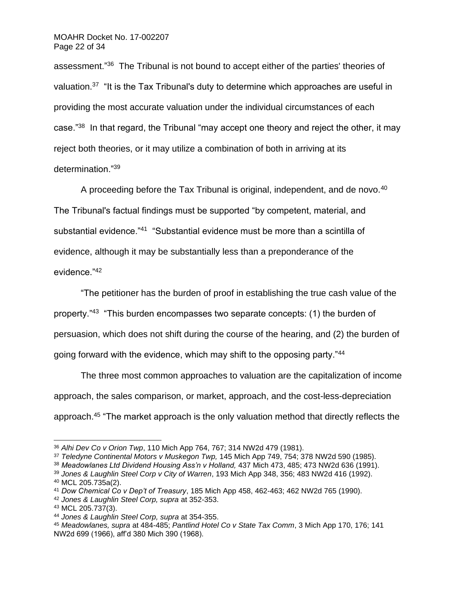assessment."<sup>36</sup> The Tribunal is not bound to accept either of the parties' theories of valuation.<sup>37</sup> "It is the Tax Tribunal's duty to determine which approaches are useful in providing the most accurate valuation under the individual circumstances of each case."<sup>38</sup> In that regard, the Tribunal "may accept one theory and reject the other, it may reject both theories, or it may utilize a combination of both in arriving at its determination."<sup>39</sup>

A proceeding before the Tax Tribunal is original, independent, and de novo. $40$ The Tribunal's factual findings must be supported "by competent, material, and substantial evidence."<sup>41</sup> "Substantial evidence must be more than a scintilla of evidence, although it may be substantially less than a preponderance of the evidence."<sup>42</sup>

"The petitioner has the burden of proof in establishing the true cash value of the property."<sup>43</sup> "This burden encompasses two separate concepts: (1) the burden of persuasion, which does not shift during the course of the hearing, and (2) the burden of going forward with the evidence, which may shift to the opposing party."<sup>44</sup>

The three most common approaches to valuation are the capitalization of income approach, the sales comparison, or market, approach, and the cost-less-depreciation approach.<sup>45</sup> "The market approach is the only valuation method that directly reflects the

<sup>36</sup> *Alhi Dev Co v Orion Twp*, 110 Mich App 764, 767; 314 NW2d 479 (1981).

<sup>37</sup> *Teledyne Continental Motors v Muskegon Twp,* 145 Mich App 749, 754; 378 NW2d 590 (1985).

<sup>38</sup> *Meadowlanes Ltd Dividend Housing Ass'n v Holland,* 437 Mich 473, 485; 473 NW2d 636 (1991).

<sup>39</sup> *Jones & Laughlin Steel Corp v City of Warren*, 193 Mich App 348, 356; 483 NW2d 416 (1992). <sup>40</sup> MCL 205.735a(2).

<sup>41</sup> *Dow Chemical Co v Dep't of Treasury*, 185 Mich App 458, 462-463; 462 NW2d 765 (1990).

<sup>42</sup> *Jones & Laughlin Steel Corp, supra* at 352-353.

<sup>43</sup> MCL 205.737(3).

<sup>44</sup> *Jones & Laughlin Steel Corp, supra* at 354-355.

<sup>45</sup> *Meadowlanes, supra* at 484-485; *Pantlind Hotel Co v State Tax Comm*, 3 Mich App 170, 176; 141 NW2d 699 (1966), aff'd 380 Mich 390 (1968).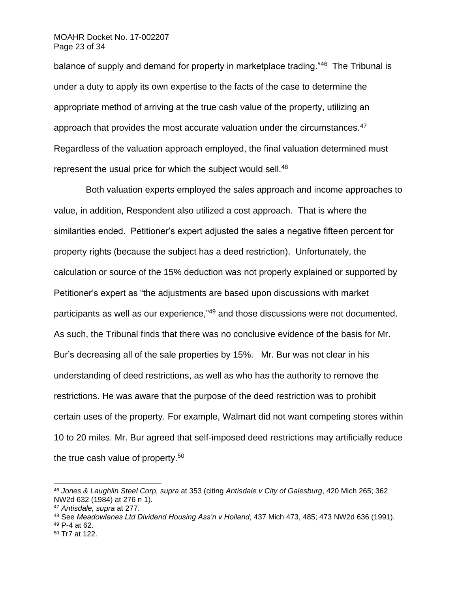#### MOAHR Docket No. 17-002207 Page 23 of 34

balance of supply and demand for property in marketplace trading."<sup>46</sup> The Tribunal is under a duty to apply its own expertise to the facts of the case to determine the appropriate method of arriving at the true cash value of the property, utilizing an approach that provides the most accurate valuation under the circumstances.<sup>47</sup> Regardless of the valuation approach employed, the final valuation determined must represent the usual price for which the subject would sell.<sup>48</sup>

 Both valuation experts employed the sales approach and income approaches to value, in addition, Respondent also utilized a cost approach. That is where the similarities ended. Petitioner's expert adjusted the sales a negative fifteen percent for property rights (because the subject has a deed restriction). Unfortunately, the calculation or source of the 15% deduction was not properly explained or supported by Petitioner's expert as "the adjustments are based upon discussions with market participants as well as our experience,"<sup>49</sup> and those discussions were not documented. As such, the Tribunal finds that there was no conclusive evidence of the basis for Mr. Bur's decreasing all of the sale properties by 15%. Mr. Bur was not clear in his understanding of deed restrictions, as well as who has the authority to remove the restrictions. He was aware that the purpose of the deed restriction was to prohibit certain uses of the property. For example, Walmart did not want competing stores within 10 to 20 miles. Mr. Bur agreed that self-imposed deed restrictions may artificially reduce the true cash value of property.<sup>50</sup>

<sup>46</sup> *Jones & Laughlin Steel Corp, supra* at 353 (citing *Antisdale v City of Galesburg*, 420 Mich 265; 362 NW2d 632 (1984) at 276 n 1).

<sup>47</sup> *Antisdale, supra* at 277.

<sup>48</sup> See *Meadowlanes Ltd Dividend Housing Ass'n v Holland*, 437 Mich 473, 485; 473 NW2d 636 (1991). <sup>49</sup> P-4 at 62.

<sup>50</sup> Tr7 at 122.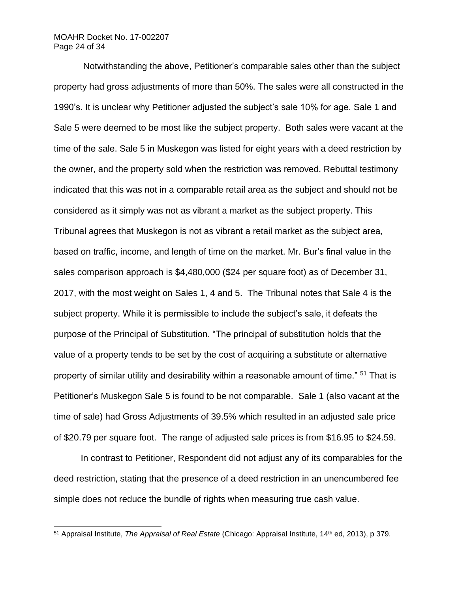#### MOAHR Docket No. 17-002207 Page 24 of 34

Notwithstanding the above, Petitioner's comparable sales other than the subject property had gross adjustments of more than 50%. The sales were all constructed in the 1990's. It is unclear why Petitioner adjusted the subject's sale 10% for age. Sale 1 and Sale 5 were deemed to be most like the subject property. Both sales were vacant at the time of the sale. Sale 5 in Muskegon was listed for eight years with a deed restriction by the owner, and the property sold when the restriction was removed. Rebuttal testimony indicated that this was not in a comparable retail area as the subject and should not be considered as it simply was not as vibrant a market as the subject property. This Tribunal agrees that Muskegon is not as vibrant a retail market as the subject area, based on traffic, income, and length of time on the market. Mr. Bur's final value in the sales comparison approach is \$4,480,000 (\$24 per square foot) as of December 31, 2017, with the most weight on Sales 1, 4 and 5. The Tribunal notes that Sale 4 is the subject property. While it is permissible to include the subject's sale, it defeats the purpose of the Principal of Substitution. "The principal of substitution holds that the value of a property tends to be set by the cost of acquiring a substitute or alternative property of similar utility and desirability within a reasonable amount of time." <sup>51</sup> That is Petitioner's Muskegon Sale 5 is found to be not comparable. Sale 1 (also vacant at the time of sale) had Gross Adjustments of 39.5% which resulted in an adjusted sale price of \$20.79 per square foot. The range of adjusted sale prices is from \$16.95 to \$24.59.

In contrast to Petitioner, Respondent did not adjust any of its comparables for the deed restriction, stating that the presence of a deed restriction in an unencumbered fee simple does not reduce the bundle of rights when measuring true cash value.

<sup>51</sup> Appraisal Institute, *The Appraisal of Real Estate* (Chicago: Appraisal Institute, 14th ed, 2013), p 379.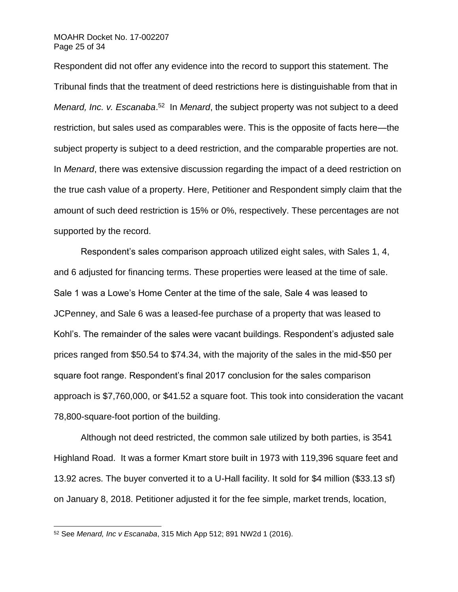#### MOAHR Docket No. 17-002207 Page 25 of 34

Respondent did not offer any evidence into the record to support this statement. The Tribunal finds that the treatment of deed restrictions here is distinguishable from that in Menard, Inc. v. Escanaba.<sup>52</sup> In Menard, the subject property was not subject to a deed restriction, but sales used as comparables were. This is the opposite of facts here—the subject property is subject to a deed restriction, and the comparable properties are not. In *Menard*, there was extensive discussion regarding the impact of a deed restriction on the true cash value of a property. Here, Petitioner and Respondent simply claim that the amount of such deed restriction is 15% or 0%, respectively. These percentages are not supported by the record.

Respondent's sales comparison approach utilized eight sales, with Sales 1, 4, and 6 adjusted for financing terms. These properties were leased at the time of sale. Sale 1 was a Lowe's Home Center at the time of the sale, Sale 4 was leased to JCPenney, and Sale 6 was a leased-fee purchase of a property that was leased to Kohl's. The remainder of the sales were vacant buildings. Respondent's adjusted sale prices ranged from \$50.54 to \$74.34, with the majority of the sales in the mid-\$50 per square foot range. Respondent's final 2017 conclusion for the sales comparison approach is \$7,760,000, or \$41.52 a square foot. This took into consideration the vacant 78,800-square-foot portion of the building.

Although not deed restricted, the common sale utilized by both parties, is 3541 Highland Road. It was a former Kmart store built in 1973 with 119,396 square feet and 13.92 acres. The buyer converted it to a U-Hall facility. It sold for \$4 million (\$33.13 sf) on January 8, 2018. Petitioner adjusted it for the fee simple, market trends, location,

<sup>52</sup> See *Menard, Inc v Escanaba*, 315 Mich App 512; 891 NW2d 1 (2016).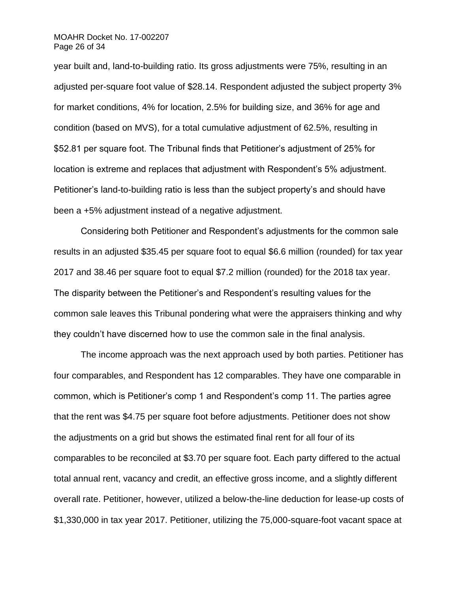#### MOAHR Docket No. 17-002207 Page 26 of 34

year built and, land-to-building ratio. Its gross adjustments were 75%, resulting in an adjusted per-square foot value of \$28.14. Respondent adjusted the subject property 3% for market conditions, 4% for location, 2.5% for building size, and 36% for age and condition (based on MVS), for a total cumulative adjustment of 62.5%, resulting in \$52.81 per square foot. The Tribunal finds that Petitioner's adjustment of 25% for location is extreme and replaces that adjustment with Respondent's 5% adjustment. Petitioner's land-to-building ratio is less than the subject property's and should have been a +5% adjustment instead of a negative adjustment.

Considering both Petitioner and Respondent's adjustments for the common sale results in an adjusted \$35.45 per square foot to equal \$6.6 million (rounded) for tax year 2017 and 38.46 per square foot to equal \$7.2 million (rounded) for the 2018 tax year. The disparity between the Petitioner's and Respondent's resulting values for the common sale leaves this Tribunal pondering what were the appraisers thinking and why they couldn't have discerned how to use the common sale in the final analysis.

The income approach was the next approach used by both parties. Petitioner has four comparables, and Respondent has 12 comparables. They have one comparable in common, which is Petitioner's comp 1 and Respondent's comp 11. The parties agree that the rent was \$4.75 per square foot before adjustments. Petitioner does not show the adjustments on a grid but shows the estimated final rent for all four of its comparables to be reconciled at \$3.70 per square foot. Each party differed to the actual total annual rent, vacancy and credit, an effective gross income, and a slightly different overall rate. Petitioner, however, utilized a below-the-line deduction for lease-up costs of \$1,330,000 in tax year 2017. Petitioner, utilizing the 75,000-square-foot vacant space at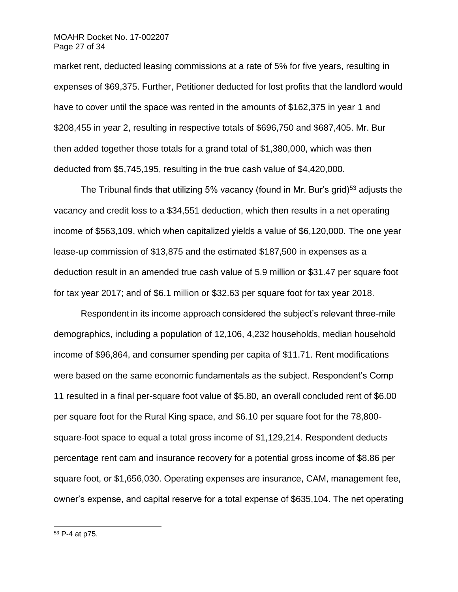#### MOAHR Docket No. 17-002207 Page 27 of 34

market rent, deducted leasing commissions at a rate of 5% for five years, resulting in expenses of \$69,375. Further, Petitioner deducted for lost profits that the landlord would have to cover until the space was rented in the amounts of \$162,375 in year 1 and \$208,455 in year 2, resulting in respective totals of \$696,750 and \$687,405. Mr. Bur then added together those totals for a grand total of \$1,380,000, which was then deducted from \$5,745,195, resulting in the true cash value of \$4,420,000.

The Tribunal finds that utilizing 5% vacancy (found in Mr. Bur's grid)<sup>53</sup> adjusts the vacancy and credit loss to a \$34,551 deduction, which then results in a net operating income of \$563,109, which when capitalized yields a value of \$6,120,000. The one year lease-up commission of \$13,875 and the estimated \$187,500 in expenses as a deduction result in an amended true cash value of 5.9 million or \$31.47 per square foot for tax year 2017; and of \$6.1 million or \$32.63 per square foot for tax year 2018.

Respondent in its income approach considered the subject's relevant three-mile demographics, including a population of 12,106, 4,232 households, median household income of \$96,864, and consumer spending per capita of \$11.71. Rent modifications were based on the same economic fundamentals as the subject. Respondent's Comp 11 resulted in a final per-square foot value of \$5.80, an overall concluded rent of \$6.00 per square foot for the Rural King space, and \$6.10 per square foot for the 78,800 square-foot space to equal a total gross income of \$1,129,214. Respondent deducts percentage rent cam and insurance recovery for a potential gross income of \$8.86 per square foot, or \$1,656,030. Operating expenses are insurance, CAM, management fee, owner's expense, and capital reserve for a total expense of \$635,104. The net operating

<sup>53</sup> P-4 at p75.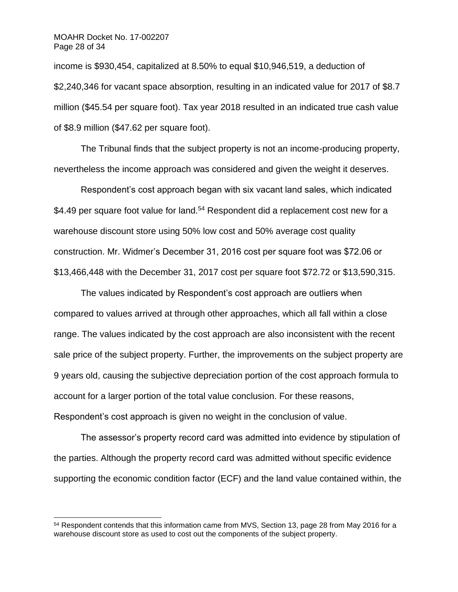income is \$930,454, capitalized at 8.50% to equal \$10,946,519, a deduction of \$2,240,346 for vacant space absorption, resulting in an indicated value for 2017 of \$8.7 million (\$45.54 per square foot). Tax year 2018 resulted in an indicated true cash value of \$8.9 million (\$47.62 per square foot).

The Tribunal finds that the subject property is not an income-producing property, nevertheless the income approach was considered and given the weight it deserves.

Respondent's cost approach began with six vacant land sales, which indicated \$4.49 per square foot value for land.<sup>54</sup> Respondent did a replacement cost new for a warehouse discount store using 50% low cost and 50% average cost quality construction. Mr. Widmer's December 31, 2016 cost per square foot was \$72.06 or \$13,466,448 with the December 31, 2017 cost per square foot \$72.72 or \$13,590,315.

The values indicated by Respondent's cost approach are outliers when compared to values arrived at through other approaches, which all fall within a close range. The values indicated by the cost approach are also inconsistent with the recent sale price of the subject property. Further, the improvements on the subject property are 9 years old, causing the subjective depreciation portion of the cost approach formula to account for a larger portion of the total value conclusion. For these reasons, Respondent's cost approach is given no weight in the conclusion of value.

The assessor's property record card was admitted into evidence by stipulation of the parties. Although the property record card was admitted without specific evidence supporting the economic condition factor (ECF) and the land value contained within, the

<sup>54</sup> Respondent contends that this information came from MVS, Section 13, page 28 from May 2016 for a warehouse discount store as used to cost out the components of the subject property.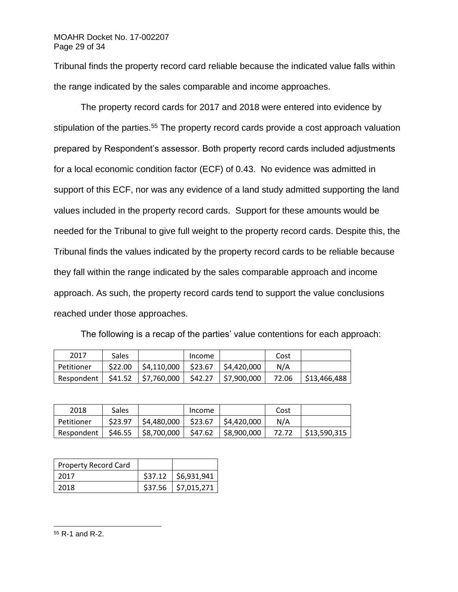### MOAHR Docket No. 17-002207 Page 29 of 34

Tribunal finds the property record card reliable because the indicated value falls within the range indicated by the sales comparable and income approaches.

The property record cards for 2017 and 2018 were entered into evidence by stipulation of the parties.<sup>55</sup> The property record cards provide a cost approach valuation prepared by Respondent's assessor. Both property record cards included adjustments for a local economic condition factor (ECF) of 0.43. No evidence was admitted in support of this ECF, nor was any evidence of a land study admitted supporting the land values included in the property record cards. Support for these amounts would be needed for the Tribunal to give full weight to the property record cards. Despite this, the Tribunal finds the values indicated by the property record cards to be reliable because they fall within the range indicated by the sales comparable approach and income approach. As such, the property record cards tend to support the value conclusions reached under those approaches.

| 2017                                                                               | Sales |                                                | Income | Cost |  |
|------------------------------------------------------------------------------------|-------|------------------------------------------------|--------|------|--|
| l Petitioner                                                                       |       | $$22.00$   \$4,110,000   \$23.67   \$4,420,000 |        | N/A  |  |
| Respondent   \$41.52   \$7,760,000   \$42.27   \$7,900,000    72.06   \$13,466,488 |       |                                                |        |      |  |

The following is a recap of the parties' value contentions for each approach:

| 2018         | <b>Sales</b> |                 | Income  |                           | Cost  |              |
|--------------|--------------|-----------------|---------|---------------------------|-------|--------------|
| l Petitioner | \$23.97      | \$4,480,000     | \$23.67 | $\frac{1}{2}$ \$4,420,000 | N/A   |              |
| Respondent   | \$46.55      | $ $ \$8,700,000 |         | $$47.62$ $$8,900,000$     | 72.72 | \$13.590.315 |

| <b>Property Record Card</b> |                       |
|-----------------------------|-----------------------|
| 2017                        | $$37.12$ $$6,931,941$ |
| 2018                        | $$37.56$ $$7,015,271$ |

<sup>55</sup> R-1 and R-2.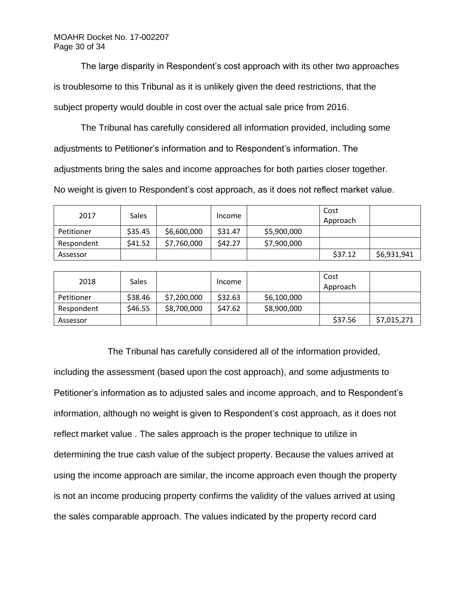MOAHR Docket No. 17-002207 Page 30 of 34

The large disparity in Respondent's cost approach with its other two approaches is troublesome to this Tribunal as it is unlikely given the deed restrictions, that the subject property would double in cost over the actual sale price from 2016.

The Tribunal has carefully considered all information provided, including some adjustments to Petitioner's information and to Respondent's information. The adjustments bring the sales and income approaches for both parties closer together.

No weight is given to Respondent's cost approach, as it does not reflect market value.

| 2017       | <b>Sales</b> |             | Income  |             | Cost<br>Approach |             |
|------------|--------------|-------------|---------|-------------|------------------|-------------|
| Petitioner | \$35.45      | \$6,600,000 | \$31.47 | \$5,900,000 |                  |             |
| Respondent | \$41.52      | \$7,760,000 | \$42.27 | \$7,900,000 |                  |             |
| Assessor   |              |             |         |             | \$37.12          | \$6,931,941 |

| 2018       | <b>Sales</b> |             | Income  |             | Cost<br>Approach |             |
|------------|--------------|-------------|---------|-------------|------------------|-------------|
| Petitioner | \$38.46      | \$7,200,000 | \$32.63 | \$6,100,000 |                  |             |
| Respondent | \$46.55      | \$8,700,000 | \$47.62 | \$8,900,000 |                  |             |
| Assessor   |              |             |         |             | \$37.56          | \$7,015,271 |

The Tribunal has carefully considered all of the information provided, including the assessment (based upon the cost approach), and some adjustments to Petitioner's information as to adjusted sales and income approach, and to Respondent's information, although no weight is given to Respondent's cost approach, as it does not reflect market value . The sales approach is the proper technique to utilize in determining the true cash value of the subject property. Because the values arrived at using the income approach are similar, the income approach even though the property is not an income producing property confirms the validity of the values arrived at using the sales comparable approach. The values indicated by the property record card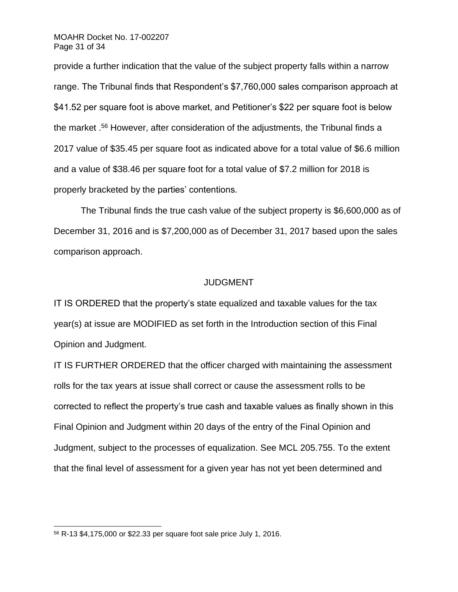#### MOAHR Docket No. 17-002207 Page 31 of 34

provide a further indication that the value of the subject property falls within a narrow range. The Tribunal finds that Respondent's \$7,760,000 sales comparison approach at \$41.52 per square foot is above market, and Petitioner's \$22 per square foot is below the market .<sup>56</sup> However, after consideration of the adjustments, the Tribunal finds a 2017 value of \$35.45 per square foot as indicated above for a total value of \$6.6 million and a value of \$38.46 per square foot for a total value of \$7.2 million for 2018 is properly bracketed by the parties' contentions.

The Tribunal finds the true cash value of the subject property is \$6,600,000 as of December 31, 2016 and is \$7,200,000 as of December 31, 2017 based upon the sales comparison approach.

### JUDGMENT

IT IS ORDERED that the property's state equalized and taxable values for the tax year(s) at issue are MODIFIED as set forth in the Introduction section of this Final Opinion and Judgment.

IT IS FURTHER ORDERED that the officer charged with maintaining the assessment rolls for the tax years at issue shall correct or cause the assessment rolls to be corrected to reflect the property's true cash and taxable values as finally shown in this Final Opinion and Judgment within 20 days of the entry of the Final Opinion and Judgment, subject to the processes of equalization. See MCL 205.755. To the extent that the final level of assessment for a given year has not yet been determined and

<sup>56</sup> R-13 \$4,175,000 or \$22.33 per square foot sale price July 1, 2016.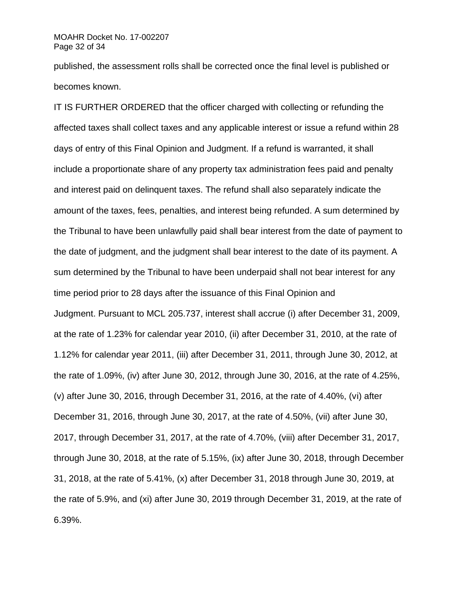### MOAHR Docket No. 17-002207 Page 32 of 34

published, the assessment rolls shall be corrected once the final level is published or becomes known.

IT IS FURTHER ORDERED that the officer charged with collecting or refunding the affected taxes shall collect taxes and any applicable interest or issue a refund within 28 days of entry of this Final Opinion and Judgment. If a refund is warranted, it shall include a proportionate share of any property tax administration fees paid and penalty and interest paid on delinquent taxes. The refund shall also separately indicate the amount of the taxes, fees, penalties, and interest being refunded. A sum determined by the Tribunal to have been unlawfully paid shall bear interest from the date of payment to the date of judgment, and the judgment shall bear interest to the date of its payment. A sum determined by the Tribunal to have been underpaid shall not bear interest for any time period prior to 28 days after the issuance of this Final Opinion and Judgment. Pursuant to MCL 205.737, interest shall accrue (i) after December 31, 2009, at the rate of 1.23% for calendar year 2010, (ii) after December 31, 2010, at the rate of 1.12% for calendar year 2011, (iii) after December 31, 2011, through June 30, 2012, at the rate of 1.09%, (iv) after June 30, 2012, through June 30, 2016, at the rate of 4.25%, (v) after June 30, 2016, through December 31, 2016, at the rate of 4.40%, (vi) after December 31, 2016, through June 30, 2017, at the rate of 4.50%, (vii) after June 30, 2017, through December 31, 2017, at the rate of 4.70%, (viii) after December 31, 2017, through June 30, 2018, at the rate of 5.15%, (ix) after June 30, 2018, through December 31, 2018, at the rate of 5.41%, (x) after December 31, 2018 through June 30, 2019, at the rate of 5.9%, and (xi) after June 30, 2019 through December 31, 2019, at the rate of 6.39%.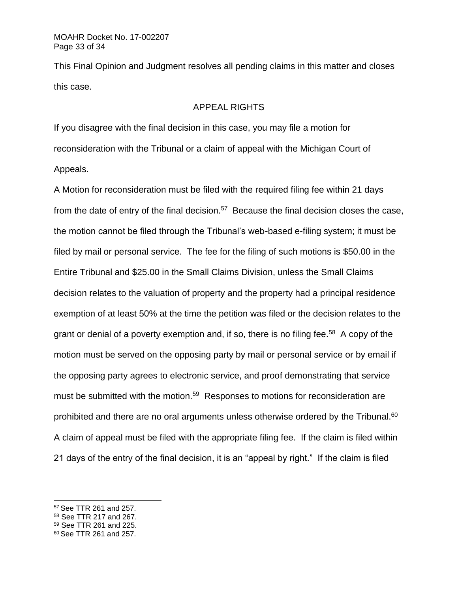This Final Opinion and Judgment resolves all pending claims in this matter and closes this case.

## APPEAL RIGHTS

If you disagree with the final decision in this case, you may file a motion for reconsideration with the Tribunal or a claim of appeal with the Michigan Court of Appeals.

A Motion for reconsideration must be filed with the required filing fee within 21 days from the date of entry of the final decision.<sup>57</sup> Because the final decision closes the case, the motion cannot be filed through the Tribunal's web-based e-filing system; it must be filed by mail or personal service. The fee for the filing of such motions is \$50.00 in the Entire Tribunal and \$25.00 in the Small Claims Division, unless the Small Claims decision relates to the valuation of property and the property had a principal residence exemption of at least 50% at the time the petition was filed or the decision relates to the grant or denial of a poverty exemption and, if so, there is no filing fee.<sup>58</sup> A copy of the motion must be served on the opposing party by mail or personal service or by email if the opposing party agrees to electronic service, and proof demonstrating that service must be submitted with the motion.<sup>59</sup> Responses to motions for reconsideration are prohibited and there are no oral arguments unless otherwise ordered by the Tribunal.<sup>60</sup> A claim of appeal must be filed with the appropriate filing fee. If the claim is filed within 21 days of the entry of the final decision, it is an "appeal by right." If the claim is filed

<sup>57</sup> See TTR 261 and 257.

<sup>58</sup> See TTR 217 and 267.

<sup>59</sup> See TTR 261 and 225.

<sup>60</sup> See TTR 261 and 257.